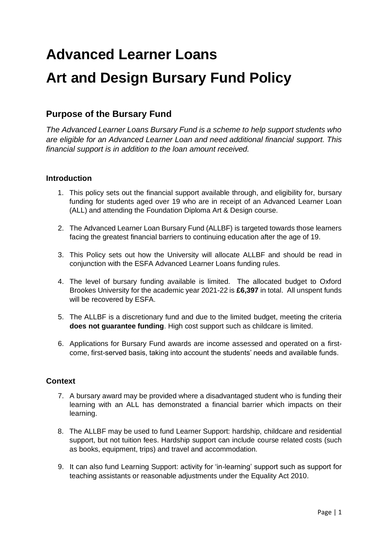# **Advanced Learner Loans Art and Design Bursary Fund Policy**

# **Purpose of the Bursary Fund**

*The Advanced Learner Loans Bursary Fund is a scheme to help support students who are eligible for an Advanced Learner Loan and need additional financial support. This financial support is in addition to the loan amount received.*

## **Introduction**

- 1. This policy sets out the financial support available through, and eligibility for, bursary funding for students aged over 19 who are in receipt of an Advanced Learner Loan (ALL) and attending the Foundation Diploma Art & Design course.
- 2. The Advanced Learner Loan Bursary Fund (ALLBF) is targeted towards those learners facing the greatest financial barriers to continuing education after the age of 19.
- 3. This Policy sets out how the University will allocate ALLBF and should be read in conjunction with the ESFA Advanced Learner Loans funding rules.
- 4. The level of bursary funding available is limited. The allocated budget to Oxford Brookes University for the academic year 2021-22 is **£6,397** in total. All unspent funds will be recovered by ESFA.
- 5. The ALLBF is a discretionary fund and due to the limited budget, meeting the criteria **does not guarantee funding**. High cost support such as childcare is limited.
- 6. Applications for Bursary Fund awards are income assessed and operated on a firstcome, first-served basis, taking into account the students' needs and available funds.

## **Context**

- 7. A bursary award may be provided where a disadvantaged student who is funding their learning with an ALL has demonstrated a financial barrier which impacts on their learning.
- 8. The ALLBF may be used to fund Learner Support: hardship, childcare and residential support, but not tuition fees. Hardship support can include course related costs (such as books, equipment, trips) and travel and accommodation.
- 9. It can also fund Learning Support: activity for 'in-learning' support such as support for teaching assistants or reasonable adjustments under the Equality Act 2010.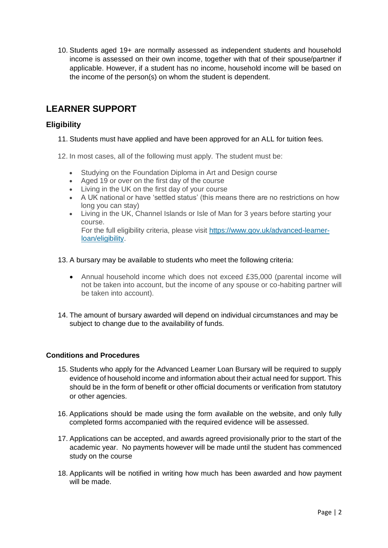10. Students aged 19+ are normally assessed as independent students and household income is assessed on their own income, together with that of their spouse/partner if applicable. However, if a student has no income, household income will be based on the income of the person(s) on whom the student is dependent.

# **LEARNER SUPPORT**

## **Eligibility**

- 11. Students must have applied and have been approved for an ALL for tuition fees.
- 12. In most cases, all of the following must apply. The student must be:
	- Studying on the Foundation Diploma in Art and Design course
	- Aged 19 or over on the first day of the course
	- Living in the UK on the first day of your course
	- A UK national or have 'settled status' (this means there are no restrictions on how long you can stay)
	- Living in the UK, Channel Islands or Isle of Man for 3 years before starting your course.

For the full eligibility criteria, please visit [https://www.gov.uk/advanced-learner](https://www.gov.uk/advanced-learner-loan/eligibility)[loan/eligibility.](https://www.gov.uk/advanced-learner-loan/eligibility)

- 13. A bursary may be available to students who meet the following criteria:
	- Annual household income which does not exceed £35,000 (parental income will not be taken into account, but the income of any spouse or co-habiting partner will be taken into account).
- 14. The amount of bursary awarded will depend on individual circumstances and may be subject to change due to the availability of funds.

#### **Conditions and Procedures**

- 15. Students who apply for the Advanced Learner Loan Bursary will be required to supply evidence of household income and information about their actual need for support. This should be in the form of benefit or other official documents or verification from statutory or other agencies.
- 16. Applications should be made using the form available on the website, and only fully completed forms accompanied with the required evidence will be assessed.
- 17. Applications can be accepted, and awards agreed provisionally prior to the start of the academic year. No payments however will be made until the student has commenced study on the course
- 18. Applicants will be notified in writing how much has been awarded and how payment will be made.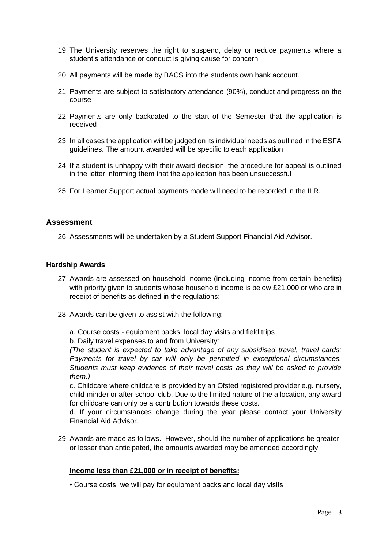- 19. The University reserves the right to suspend, delay or reduce payments where a student's attendance or conduct is giving cause for concern
- 20. All payments will be made by BACS into the students own bank account.
- 21. Payments are subject to satisfactory attendance (90%), conduct and progress on the course
- 22. Payments are only backdated to the start of the Semester that the application is received
- 23. In all cases the application will be judged on its individual needs as outlined in the ESFA guidelines. The amount awarded will be specific to each application
- 24. If a student is unhappy with their award decision, the procedure for appeal is outlined in the letter informing them that the application has been unsuccessful
- 25. For Learner Support actual payments made will need to be recorded in the ILR.

#### **Assessment**

26. Assessments will be undertaken by a Student Support Financial Aid Advisor.

#### **Hardship Awards**

- 27. Awards are assessed on household income (including income from certain benefits) with priority given to students whose household income is below £21,000 or who are in receipt of benefits as defined in the regulations:
- 28. Awards can be given to assist with the following:
	- a. Course costs equipment packs, local day visits and field trips
	- b. Daily travel expenses to and from University:

*(The student is expected to take advantage of any subsidised travel, travel cards; Payments for travel by car will only be permitted in exceptional circumstances. Students must keep evidence of their travel costs as they will be asked to provide them.)*

c. Childcare where childcare is provided by an Ofsted registered provider e.g. nursery, child-minder or after school club. Due to the limited nature of the allocation, any award for childcare can only be a contribution towards these costs.

d. If your circumstances change during the year please contact your University Financial Aid Advisor.

29. Awards are made as follows. However, should the number of applications be greater or lesser than anticipated, the amounts awarded may be amended accordingly

#### **Income less than £21,000 or in receipt of benefits:**

• Course costs: we will pay for equipment packs and local day visits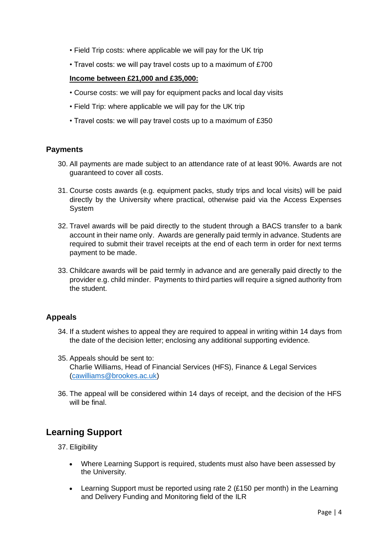- Field Trip costs: where applicable we will pay for the UK trip
- Travel costs: we will pay travel costs up to a maximum of £700

#### **Income between £21,000 and £35,000:**

- Course costs: we will pay for equipment packs and local day visits
- Field Trip: where applicable we will pay for the UK trip
- Travel costs: we will pay travel costs up to a maximum of £350

#### **Payments**

- 30. All payments are made subject to an attendance rate of at least 90%. Awards are not guaranteed to cover all costs.
- 31. Course costs awards (e.g. equipment packs, study trips and local visits) will be paid directly by the University where practical, otherwise paid via the Access Expenses System
- 32. Travel awards will be paid directly to the student through a BACS transfer to a bank account in their name only. Awards are generally paid termly in advance. Students are required to submit their travel receipts at the end of each term in order for next terms payment to be made.
- 33. Childcare awards will be paid termly in advance and are generally paid directly to the provider e.g. child minder. Payments to third parties will require a signed authority from the student.

#### **Appeals**

- 34. If a student wishes to appeal they are required to appeal in writing within 14 days from the date of the decision letter; enclosing any additional supporting evidence.
- 35. Appeals should be sent to: Charlie Williams, Head of Financial Services (HFS), Finance & Legal Services [\(cawilliams@brookes.ac.uk\)](mailto:cawilliams@brookes.ac.uk)
- 36. The appeal will be considered within 14 days of receipt, and the decision of the HFS will be final.

# **Learning Support**

- 37. Eligibility
	- Where Learning Support is required, students must also have been assessed by the University.
	- Learning Support must be reported using rate 2 (£150 per month) in the Learning and Delivery Funding and Monitoring field of the ILR